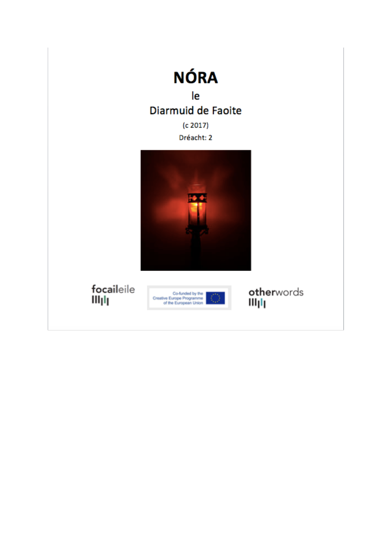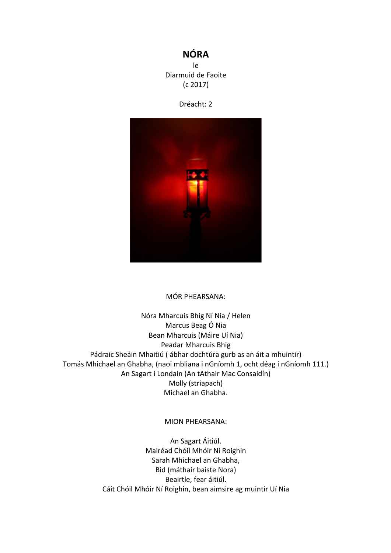## **NÓRA**

le Diarmuid de Faoite  $(c 2017)$ 





#### MÓR PHEARSANA:

Nóra Mharcuis Bhig Ní Nia / Helen Marcus Beag Ó Nia Bean Mharcuis (Máire Uí Nia) Peadar Mharcuis Bhig Pádraic Sheáin Mhaitiú ( ábhar dochtúra gurb as an áit a mhuintir) Tomás Mhichael an Ghabha, (naoi mbliana i nGníomh 1, ocht déag i nGníomh 111.) An Sagart i Londain (An tAthair Mac Consaidín) Molly (striapach) Michael an Ghabha.

#### MION PHEARSANA:

An Sagart Áitiúl. Mairéad Chóil Mhóir Ní Roighin Sarah Mhichael an Ghabha, Bid (máthair baiste Nora) Beairtle, fear áitiúl. Cáit Chóil Mhóir Ní Roighin, bean aimsire ag muintir Uí Nia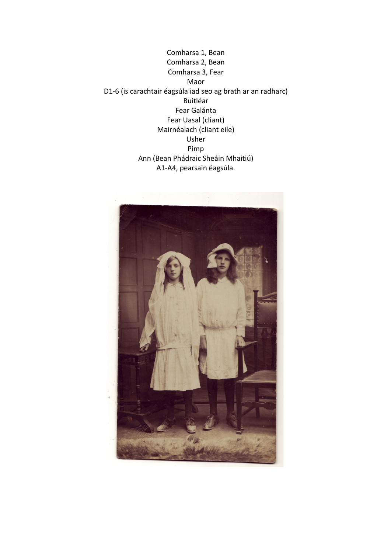

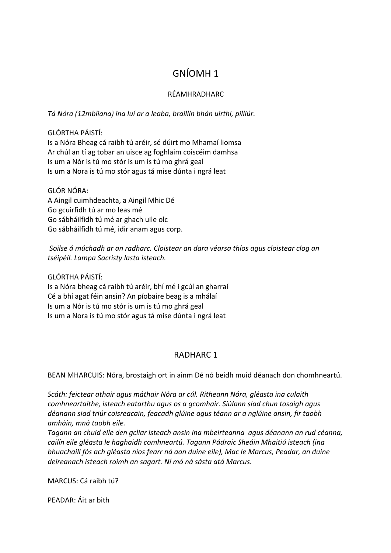# GNÍOMH 1

## RÉAMHRADHARC

*Tá Nóra (12mbliana) ina luí ar a leaba, braillín bhán uirthi, pilliúr.*

### GLÓRTHA PÁISTÍ:

Is a Nóra Bheag cá raibh tú aréir, sé dúirt mo Mhamaí liomsa Ar chúl an tí ag tobar an uisce ag foghlaim coiscéim damhsa Is um a Nór is tú mo stór is um is tú mo ghrá geal Is um a Nora is tú mo stór agus tá mise dúnta i ngrá leat

### GLÓR NÓRA:

A Aingil cuimhdeachta, a Aingil Mhic Dé Go gcuirfidh tú ar mo leas mé Go sábháilfidh tú mé ar ghach uile olc Go sábháilfidh tú mé, idir anam agus corp.

Soilse á múchadh ar an radharc. Cloistear an dara véarsa thíos agus cloistear clog an *tséipéil. Lampa Sacristy lasta isteach.*

GLÓRTHA PÁISTÍ: 

Is a Nóra bheag cá raibh tú aréir, bhí mé i gcúl an gharraí Cé a bhí agat féin ansin? An píobaire beag is a mhálaí Is um a Nór is tú mo stór is um is tú mo ghrá geal Is um a Nora is tú mo stór agus tá mise dúnta i ngrá leat

## **RADHARC 1**

BEAN MHARCUIS: Nóra, brostaigh ort in ainm Dé nó beidh muid déanach don chomhneartú.

Scáth: feictear athair agus máthair Nóra ar cúl. Ritheann Nóra, gléasta ina culaith *comhneartaithe, isteach eatarthu agus os a gcomhair. Siúlann siad chun tosaigh agus* déanann siad triúr coisreacain, feacadh glúine agus téann ar a nglúine ansin, fir taobh *amháin, mná taobh eile.*

Tagann an chuid eile den gcliar isteach ansin ina mbeirteanna agus déanann an rud céanna, cailín eile gléasta le haghaidh comhneartú. Tagann Pádraic Sheáin Mhaitiú isteach (ina *bhuachaill fós ach gléasta níos fearr ná aon duine eile), Mac le Marcus, Peadar, an duine deireanach isteach roimh an sagart. Ní mó ná sásta atá Marcus.*

MARCUS: Cá raibh tú?

PFADAR: Áit ar bith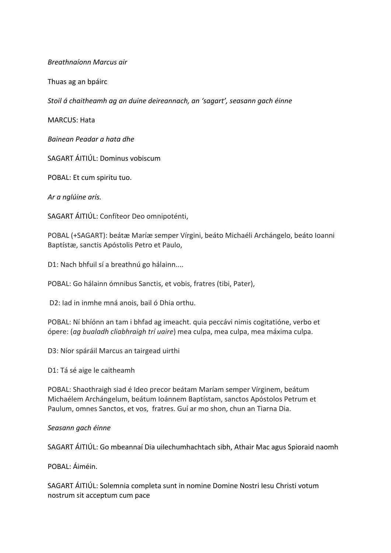*Breathnaíonn Marcus air*

Thuas ag an bpáirc

Stoil á chaitheamh ag an duine deireannach, an 'sagart', seasann gach éinne

MARCUS: Hata

*Bainean Peadar a hata dhe*

SAGART ÁITIÚL: Dominus vobiscum

POBAL: Et cum spiritu tuo.

*Ar a nglúine arís.*

SAGART ÁITIÚL: Confíteor Deo omnipoténti,

POBAL (+SAGART): beátæ Maríæ semper Vírgini, beáto Michaéli Archángelo, beáto Ioanni Baptístæ, sanctis Apóstolis Petro et Paulo,

D1: Nach bhfuil sí a breathnú go hálainn....

POBAL: Go hálainn ómnibus Sanctis, et vobis, fratres (tibi, Pater),

D2: Iad in inmhe mná anois, bail ó Dhia orthu.

POBAL: Ní bhíónn an tam i bhfad ag imeacht. quia peccávi nimis cogitatióne, verbo et ópere: (*ag bualadh cliabhraigh trí uaire*) mea culpa, mea culpa, mea máxima culpa.

D3: Níor spáráil Marcus an tairgead uirthi

D1: Tá sé aige le caitheamh

POBAL: Shaothraigh siad é Ideo precor beátam Maríam semper Vírginem, beátum Michaélem Archángelum, beátum Ioánnem Baptístam, sanctos Apóstolos Petrum et Paulum, omnes Sanctos, et vos, fratres. Guí ar mo shon, chun an Tiarna Dia.

*Seasann gach éinne*

SAGART ÁITIÚL: Go mbeannaí Dia uilechumhachtach sibh, Athair Mac agus Spioraid naomh

POBAL: Áiméin.

SAGART ÁITIÚL: Solemnia completa sunt in nomine Domine Nostri Iesu Christi votum nostrum sit acceptum cum pace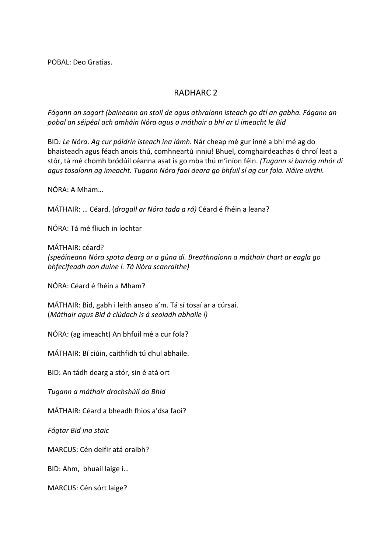POBAL: Deo Gratias.

## RADHARC<sub>2</sub>

Fágann an sagart (baineann an stoil de agus athraíonn isteach go dtí an gabha. Fágann an *pobal an séipéal ach amháin Nóra agus a máthair a bhí ar tí imeacht le Bid*

BID: Le Nóra. Ag cur páidrín isteach ina lámh. Nár cheap mé gur inné a bhí mé ag do bhaisteadh agus féach anois thú, comhneartú inniu! Bhuel, comghairdeachas ó chroí leat a stór, tá mé chomh bródúil céanna asat is go mba thú m'iníon féin. (Tugann sí barróg mhór di agus tosaíonn ag imeacht. Tugann Nóra faoi deara go bhfuil sí ag cur fola. Náire uirthi.

NÓRA: A Mham...

MÁTHAIR: ... Céard. (*drogall ar Nóra tada a rá*) Céard é fhéin a leana?

NÓRA: Tá mé fliuch in íochtar

MÁTHAIR: céard? *(speáineann Nóra spota dearg ar a gúna di. Breathnaíonn a máthair thart ar eagla go bhfecifeadh aon duine í. Tá Nóra scanraithe)*

NÓRA: Céard é fhéin a Mham?

MÁTHAIR: Bid, gabh i leith anseo a'm. Tá sí tosaí ar a cúrsaí. (*Máthair agus Bid á clúdach is á seoladh abhaile í)*

NÓRA: (ag imeacht) An bhfuil mé a cur fola?

MÁTHAIR: Bí ciúin, caithfidh tú dhul abhaile.

BID: An tádh dearg a stór, sin é atá ort

*Tugann a máthair drochshúil do Bhid*

MÁTHAIR: Céard a bheadh fhios a'dsa faoi?

*Fágtar Bid ina staic*

MARCUS: Cén deifir atá oraibh?

BID: Ahm, bhuail laige í...

MARCUS: Cén sórt laige?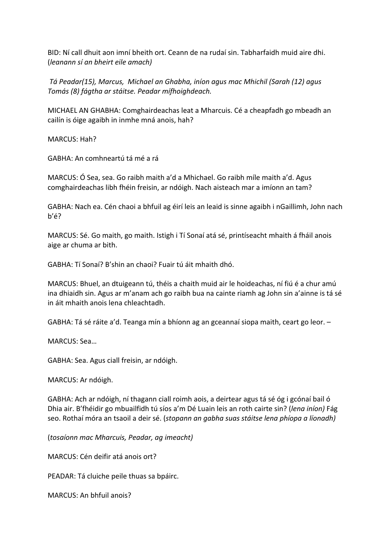BID: Ní call dhuit aon imní bheith ort. Ceann de na rudaí sin. Tabharfaidh muid aire dhi. (*leanann sí an bheirt eile amach)*

Tá Peadar(15), Marcus, Michael an Ghabha, iníon agus mac Mhichil (Sarah (12) agus *Tomás (8) fágtha ar stáitse. Peadar mífhoighdeach.*

MICHAEL AN GHABHA: Comghairdeachas leat a Mharcuis. Cé a cheapfadh go mbeadh an cailín is óige agaibh in inmhe mná anois, hah?

MARCUS: Hah?

GABHA: An comhneartú tá mé a rá

MARCUS: Ó Sea, sea. Go raibh maith a'd a Mhichael. Go raibh míle maith a'd. Agus comghairdeachas libh fhéin freisin, ar ndóigh. Nach aisteach mar a imíonn an tam?

GABHA: Nach ea. Cén chaoi a bhfuil ag éirí leis an leaid is sinne agaibh i nGaillimh, John nach b'é?

MARCUS: Sé. Go maith, go maith. Istigh i Tí Sonaí atá sé, printíseacht mhaith á fháil anois aige ar chuma ar bith.

GABHA: Tí Sonaí? B'shin an chaoi? Fuair tú áit mhaith dhó.

MARCUS: Bhuel, an dtuigeann tú, théis a chaith muid air le hoideachas, ní fiú é a chur amú ina dhiaidh sin. Agus ar m'anam ach go raibh bua na cainte riamh ag John sin a'ainne is tá sé in áit mhaith anois lena chleachtadh.

GABHA: Tá sé ráite a'd. Teanga mín a bhíonn ag an gceannaí siopa maith, ceart go leor. -

MARCUS: Sea...

GABHA: Sea. Agus ciall freisin, ar ndóigh.

MARCUS: Ar ndóigh.

GABHA: Ach ar ndóigh, ní thagann ciall roimh aois, a deirtear agus tá sé óg i gcónaí bail ó Dhia air. B'fhéidir go mbuailfidh tú síos a'm Dé Luain leis an roth cairte sin? (*lena iníon*) Fág seo. Rothaí móra an tsaoil a deir sé. (*stopann an gabha suas stáitse lena phíopa a líonadh*)

(*tosaíonn mac Mharcuis, Peadar, ag imeacht)*

MARCUS: Cén deifir atá anois ort?

PEADAR: Tá cluiche peile thuas sa bpáirc.

MARCUS: An bhfuil anois?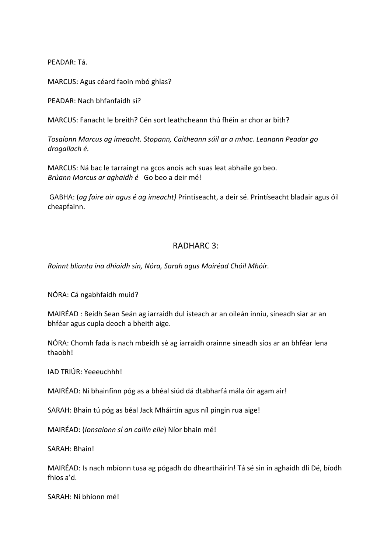PEADAR: Tá.

MARCUS: Agus céard faoin mbó ghlas?

PEADAR: Nach bhfanfaidh sí?

MARCUS: Fanacht le breith? Cén sort leathcheann thú fhéin ar chor ar bith?

*Tosaíonn Marcus ag imeacht. Stopann, Caitheann súil ar a mhac. Leanann Peadar go*  drogallach é.

MARCUS: Ná bac le tarraingt na gcos anois ach suas leat abhaile go beo. *Brúann Marcus ar aghaidh é* Go beo a deir mé!

GABHA: (ag faire air agus é ag imeacht) Printíseacht, a deir sé. Printíseacht bladair agus óil cheapfainn. 

## RADHARC 3:

*Roinnt blianta ina dhiaidh sin, Nóra, Sarah agus Mairéad Chóil Mhóir.*

NÓRA: Cá ngabhfaidh muid?

MAIRÉAD : Beidh Sean Seán ag iarraidh dul isteach ar an oileán inniu, síneadh siar ar an bhféar agus cupla deoch a bheith aige.

NÓRA: Chomh fada is nach mbeidh sé ag iarraidh orainne síneadh síos ar an bhféar lena thaobh!

IAD TRIÚR: Yeeeuchhh!

MAIRÉAD: Ní bhainfinn póg as a bhéal siúd dá dtabharfá mála óir agam air!

SARAH: Bhain tú póg as béal Jack Mháirtín agus níl pingin rua aige!

MAIRÉAD: (*Ionsaíonn sí an cailín eile*) Níor bhain mé!

SARAH: Bhain!

MAIRÉAD: Is nach mbíonn tusa ag pógadh do dheartháirín! Tá sé sin in aghaidh dlí Dé, bíodh fhios a'd.

SARAH: Ní bhíonn mé!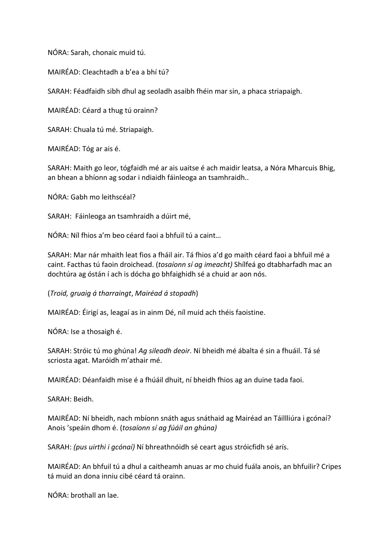NÓRA: Sarah, chonaic muid tú.

MAIRÉAD: Cleachtadh a b'ea a bhí tú?

SARAH: Féadfaidh sibh dhul ag seoladh asaibh fhéin mar sin, a phaca striapaigh.

MAIRÉAD: Céard a thug tú orainn?

SARAH: Chuala tú mé. Striapaigh.

MAIRÉAD: Tóg ar ais é.

SARAH: Maith go leor, tógfaidh mé ar ais uaitse é ach maidir leatsa, a Nóra Mharcuis Bhig, an bhean a bhíonn ag sodar i ndiaidh fáinleoga an tsamhraidh..

NÓRA: Gabh mo leithscéal? 

SARAH: Fáinleoga an tsamhraidh a dúirt mé,

NÓRA: Níl fhios a'm beo céard faoi a bhfuil tú a caint...

SARAH: Mar nár mhaith leat fios a fháil air. Tá fhios a'd go maith céard faoi a bhfuil mé a caint. Facthas tú faoin droichead. (tosaíonn sí ag imeacht) Shílfeá go dtabharfadh mac an dochtúra ag óstán í ach is dócha go bhfaighidh sé a chuid ar aon nós.

(*Troid, gruaig á tharraingt*, *Mairéad á stopadh*)

MAIRÉAD: Éirigí as, leagaí as in ainm Dé, níl muid ach théis faoistine.

NÓRA: Ise a thosaigh é.

SARAH: Stróic tú mo ghúna! Aq sileadh deoir. Ní bheidh mé ábalta é sin a fhuáil. Tá sé scriosta agat. Maróidh m'athair mé.

MAIRÉAD: Déanfaidh mise é a fhúáil dhuit, ní bheidh fhios ag an duine tada faoi.

SARAH: Beidh.

MAIRÉAD: Ní bheidh, nach mbíonn snáth agus snáthaid ag Mairéad an Táillliúra i gcónaí? Anois 'speáin dhom é. (*tosaíonn sí ag fúáil an ghúna)*

SARAH: *(pus uirthi i gcónaí)* Ní bhreathnóidh sé ceart agus stróicfidh sé arís.

MAIRÉAD: An bhfuil tú a dhul a caitheamh anuas ar mo chuid fuála anois, an bhfuilir? Cripes tá muid an dona inniu cibé céard tá orainn.

NÓRA: brothall an lae.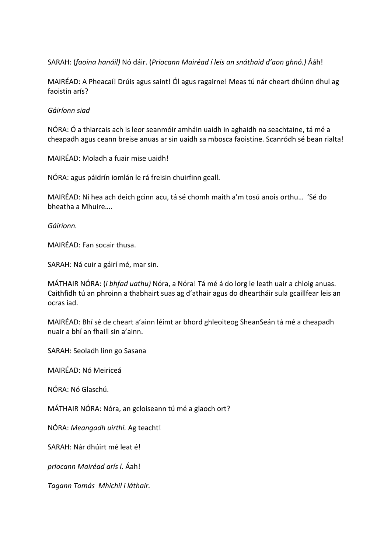SARAH: (faoina hanáil) Nó dáir. (Priocann Mairéad í leis an snáthaid d'aon ghnó.) Ááh!

MAIRÉAD: A Pheacaí! Drúis agus saint! Ól agus ragairne! Meas tú nár cheart dhúinn dhul ag faoistin arís?

#### *Gáiríonn siad*

NÓRA: Ó a thiarcais ach is leor seanmóir amháin uaidh in aghaidh na seachtaine, tá mé a cheapadh agus ceann breise anuas ar sin uaidh sa mbosca faoistine. Scanródh sé bean rialta!

MAIRÉAD: Moladh a fuair mise uaidh!

NÓRA: agus páidrín iomlán le rá freisin chuirfinn geall.

MAIRÉAD: Ní hea ach deich gcinn acu, tá sé chomh maith a'm tosú anois orthu... 'Sé do bheatha a Mhuire….

*Gáiríonn.* 

MAIRÉAD: Fan socair thusa.

SARAH: Ná cuir a gáirí mé, mar sin.

MÁTHAIR NÓRA: (*i bhfad uathu)* Nóra, a Nóra! Tá mé á do lorg le leath uair a chloig anuas. Caithfidh tú an phroinn a thabhairt suas ag d'athair agus do dheartháir sula gcaillfear leis an ocras iad.

MAIRÉAD: Bhí sé de cheart a'ainn léimt ar bhord ghleoiteog SheanSeán tá mé a cheapadh nuair a bhí an fhaill sin a'ainn. 

SARAH: Seoladh linn go Sasana

MAIRÉAD: Nó Meiriceá

NÓRA: Nó Glaschú. 

MÁTHAIR NÓRA: Nóra, an gcloiseann tú mé a glaoch ort?

NÓRA: *Meangadh uirthi*. Ag teacht!

SARAH: Nár dhúirt mé leat é!

*priocann Mairéad arís í.* Áah! 

*Tagann Tomás Mhichil i láthair.*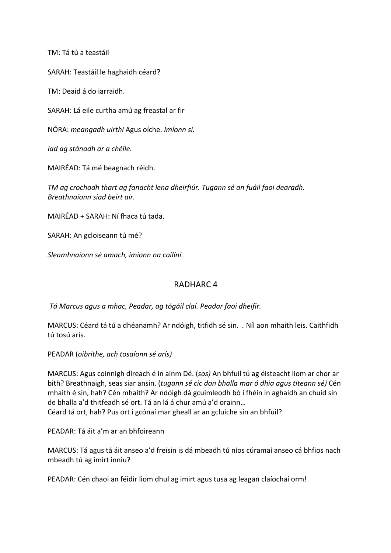TM: Tá tú a teastáil

SARAH: Teastáil le haghaidh céard?

TM: Deaid á do iarraidh.

SARAH: Lá eile curtha amú ag freastal ar fir

NÓRA: *meangadh uirthi* Agus oíche. *Imíonn sí.*

*Iad ag stánadh ar a chéile.* 

MAIRÉAD: Tá mé beagnach réidh.

*TM* ag crochadh thart ag fanacht lena dheirfiúr. Tugann sé an fuáil faoi dearadh. *Breathnaíonn siad beirt air.*

 $MAIRFAD + SARAH: Ní fhaca tú tada.$ 

SARAH: An gcloiseann tú mé?

*Sleamhnaíonn sé amach, imíonn na cailíní.*

## RADHARC<sub>4</sub>

*Tá Marcus agus a mhac, Peadar, ag tógáil claí. Peadar faoi dheifir.*

MARCUS: Céard tá tú a dhéanamh? Ar ndóigh, titfidh sé sin. . Níl aon mhaith leis. Caithfidh tú tosú arís.

PEADAR (*oibrithe, ach tosaíonn sé arís)*

MARCUS: Agus coinnigh díreach é in ainm Dé. (*sos*) An bhfuil tú ag éisteacht liom ar chor ar bith? Breathnaigh, seas siar ansin. (*tugann sé cic don bhalla mar ó dhia agus titeann sé*) Cén mhaith é sin, hah? Cén mhaith? Ar ndóigh dá gcuimleodh bó í fhéin in aghaidh an chuid sin de bhalla a'd thitfeadh sé ort. Tá an lá á chur amú a'd orainn... Céard tá ort, hah? Pus ort i gcónaí mar gheall ar an gcluiche sin an bhfuil?

PEADAR: Tá áit a'm ar an bhfoireann

MARCUS: Tá agus tá áit anseo a'd freisin is dá mbeadh tú níos cúramaí anseo cá bhfios nach mbeadh tú ag imirt inniu?

PEADAR: Cén chaoi an féidir liom dhul ag imirt agus tusa ag leagan claíochaí orm!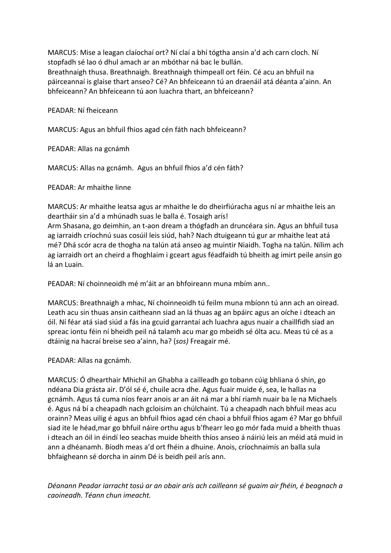MARCUS: Mise a leagan claíochaí ort? Ní claí a bhí tógtha ansin a'd ach carn cloch. Ní stopfadh sé lao ó dhul amach ar an mbóthar ná bac le bullán. Breathnaigh thusa. Breathnaigh. Breathnaigh thimpeall ort féin. Cé acu an bhfuil na páirceannaí is glaise thart anseo? Cé? An bhfeiceann tú an draenáil atá déanta a'ainn. An bhfeiceann? An bhfeiceann tú aon luachra thart, an bhfeiceann?

PFADAR: Ní fheiceann

MARCUS: Agus an bhfuil fhios agad cén fáth nach bhfeiceann?

PEADAR: Allas na gcnámh

MARCUS: Allas na gcnámh. Agus an bhfuil fhios a'd cén fáth?

PEADAR: Ar mhaithe linne

MARCUS: Ar mhaithe leatsa agus ar mhaithe le do dheirfiúracha agus ní ar mhaithe leis an deartháir sin a'd a mhúnadh suas le balla é. Tosaigh arís!

Arm Shasana, go deimhin, an t-aon dream a thógfadh an druncéara sin. Agus an bhfuil tusa ag iarraidh críochnú suas cosúil leis siúd, hah? Nach dtuigeann tú gur ar mhaithe leat atá mé? Dhá scór acra de thogha na talún atá anseo ag muintir Niaidh. Togha na talún. Nílim ach ag iarraidh ort an cheird a fhoghlaim i gceart agus féadfaidh tú bheith ag imirt peile ansin go lá an Luain.

PEADAR: Ní choinneoidh mé m'áit ar an bhfoireann muna mbím ann..

MARCUS: Breathnaigh a mhac, Ní choinneoidh tú feilm muna mbíonn tú ann ach an oiread. Leath acu sin thuas ansin caitheann siad an lá thuas ag an bpáirc agus an oíche i dteach an óil. Ní féar atá siad siúd a fás ina gcuid garrantaí ach luachra agus nuair a chaillfidh siad an spreac iontu féin ní bheidh peil ná talamh acu mar go mbeidh sé ólta acu. Meas tú cé as a dtáinig na hacraí breise seo a'ainn, ha? (sos) Freagair mé.

PEADAR: Allas na gcnámh.

MARCUS: Ó dhearthair Mhichil an Ghabha a cailleadh go tobann cúig bhliana ó shin, go ndéana Dia grásta air. D'ól sé é, chuile acra dhe. Agus fuair muide é, sea, le hallas na gcnámh. Agus tá cuma níos fearr anois ar an áit ná mar a bhí riamh nuair ba le na Michaels é. Agus ná bí a cheapadh nach gcloisim an chúlchaint. Tú a cheapadh nach bhfuil meas acu orainn? Meas uilig é agus an bhfuil fhios agad cén chaoi a bhfuil fhios agam é? Mar go bhfuil siad ite le héad,mar go bhfuil náire orthu agus b'fhearr leo go mór fada muid a bheith thuas i dteach an óil in éindí leo seachas muide bheith thíos anseo á náiriú leis an méid atá muid in ann a dhéanamh. Bíodh meas a'd ort fhéin a dhuine. Anois, críochnaimís an balla sula bhfaigheann sé dorcha in ainm Dé is beidh peil arís ann.

Déanann Peadar iarracht tosú ar an obair arís ach cailleann sé quaim air fhéin, é beagnach a *caoineadh. Téann chun imeacht.*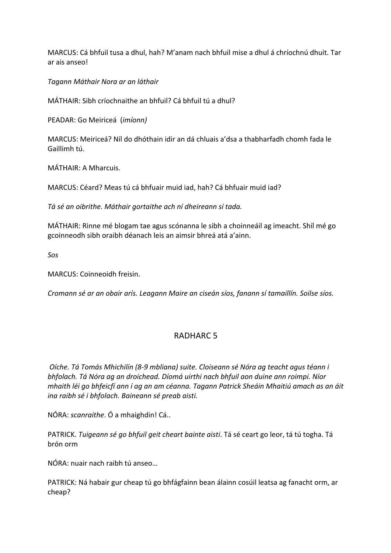MARCUS: Cá bhfuil tusa a dhul, hah? M'anam nach bhfuil mise a dhul á chríochnú dhuit. Tar ar ais anseo!

*Tagann Máthair Nora ar an láthair*

MÁTHAIR: Sibh críochnaithe an bhfuil? Cá bhfuil tú a dhul?

PEADAR: Go Meiriceá (*imíonn)*

MARCUS: Meiriceá? Níl do dhóthain idir an dá chluais a'dsa a thabharfadh chomh fada le Gaillimh tú.

MÁTHAIR: A Mharcuis.

MARCUS: Céard? Meas tú cá bhfuair muid iad, hah? Cá bhfuair muid iad?

*Tá sé an oibrithe. Máthair gortaithe ach ní dheireann sí tada.* 

MÁTHAIR: Rinne mé blogam tae agus scónanna le sibh a choinneáil ag imeacht. Shíl mé go gcoinneodh sibh oraibh déanach leis an aimsir bhreá atá a'ainn.

*Sos*

MARCUS: Coinneoidh freisin.

*Cromann sé ar an obair arís. Leagann Maire an ciseán síos, fanann sí tamaillín. Soilse síos.*

## RADHARC<sub>5</sub>

*Oíche. Tá Tomás Mhichilín (8-9 mbliana) suite. Cloiseann sé Nóra ag teacht agus téann i* bhfolach. Tá Nóra ag an droichead. Díomá uirthi nach bhfuil aon duine ann roimpi. Níor *mhaith léi go bhfeicfí ann í ag an am céanna. Tagann Patrick Sheáin Mhaitiú amach as an áit ina raibh sé i bhfolach. Baineann sé preab aisti.* 

NÓRA: *scanraithe*. Ó a mhaighdin! Cá..

PATRICK. *Tuigeann sé go bhfuil geit cheart bainte aisti*. Tá sé ceart go leor, tá tú togha. Tá brón orm

NÓRA: nuair nach raibh tú anseo...

PATRICK: Ná habair gur cheap tú go bhfágfainn bean álainn cosúil leatsa ag fanacht orm, ar cheap?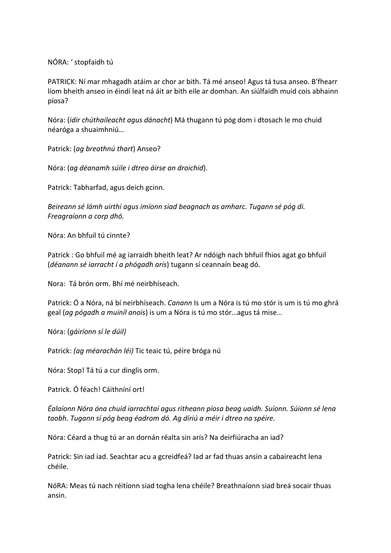NÓRA: ' stopfaidh tú

PATRICK: Ní mar mhagadh atáim ar chor ar bith. Tá mé anseo! Agus tá tusa anseo. B'fhearr liom bheith anseo in éindí leat ná áit ar bith eile ar domhan. An siúlfaidh muid cois abhainn píosa?

Nóra: *(idir chúthaileacht agus dánacht*) Má thugann tú póg dom i dtosach le mo chuid néaróga a shuaimhniú…

Patrick: *(ag breathnú thart)* Anseo?

Nóra: (ag déanamh súile i dtreo áirse an droichid).

Patrick: Tabharfad, agus deich gcinn.

Beireann sé lámh uirthi agus imíonn siad beagnach as amharc. Tugann sé póg di. *Freagraíonn a corp dhó.*

Nóra: An bhfuil tú cinnte?

Patrick : Go bhfuil mé ag iarraidh bheith leat? Ar ndóigh nach bhfuil fhios agat go bhfuil (*déanann sé iarracht í a phógadh arís*) tugann sí ceannaín beag dó.

Nora: Tá brón orm. Bhí mé neirbhíseach.

Patrick: Ó a Nóra, ná bí neirbhíseach. *Canann* Is um a Nóra is tú mo stór is um is tú mo ghrá geal (*ag pógadh a muiníl anois*) is um a Nóra is tú mo stór…agus tá mise…

Nóra: (*gáiríonn sí le dúil)*

Patrick: *(ag méarachán léi)* Tic teaic tú, péire bróga nú

Nóra: Stop! Tá tú a cur dinglis orm.

Patrick. Ó féach! Cáithníní ort!

*Éalaíonn Nóra óna chuid iarrachtaí agus ritheann píosa beag uaidh. Suíonn. Súionn sé lena taobh. Tugann sí póg beag éadrom dó. Ag díriú a méir i dtreo na spéire.*

Nóra: Céard a thug tú ar an dornán réalta sin arís? Na deirfiúracha an iad?

Patrick: Sin iad iad. Seachtar acu a gcreidfeá? Iad ar fad thuas ansin a cabaireacht lena chéile.

NóRA: Meas tú nach réitíonn siad togha lena chéile? Breathnaíonn siad breá socair thuas ansin.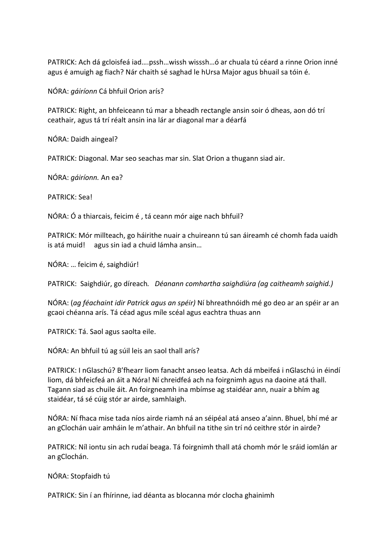PATRICK: Ach dá gcloisfeá iad....pssh...wissh wisssh...ó ar chuala tú céard a rinne Orion inné agus é amuigh ag fiach? Nár chaith sé saghad le hUrsa Major agus bhuail sa tóin é.

NÓRA: *gáiríonn* Cá bhfuil Orion arís?

PATRICK: Right, an bhfeiceann tú mar a bheadh rectangle ansin soir ó dheas, aon dó trí ceathair, agus tá trí réalt ansin ina lár ar diagonal mar a déarfá

NÓRA: Daidh aingeal?

PATRICK: Diagonal. Mar seo seachas mar sin. Slat Orion a thugann siad air.

NÓRA: *gáiríonn*. An ea?

PATRICK: Sea!

NÓRA: Ó a thiarcais, feicim é, tá ceann mór aige nach bhfuil?

PATRICK: Mór millteach, go háirithe nuair a chuireann tú san áireamh cé chomh fada uaidh is atá muid! agus sin iad a chuid lámha ansin...

NÓRA: ... feicim é, saighdiúr!

PATRICK: Saighdiúr, go díreach. Déanann comhartha saighdiúra (ag caitheamh saighid.)

NÓRA: (ag féachaint idir Patrick agus an spéir) Ní bhreathnóidh mé go deo ar an spéir ar an gcaoi chéanna arís. Tá céad agus míle scéal agus eachtra thuas ann

PATRICK: Tá. Saol agus saolta eile.

NÓRA: An bhfuil tú ag súil leis an saol thall arís?

PATRICK: I nGlaschú? B'fhearr liom fanacht anseo leatsa. Ach dá mbeifeá i nGlaschú in éindí liom, dá bhfeicfeá an áit a Nóra! Ní chreidfeá ach na foirgnimh agus na daoine atá thall. Tagann siad as chuile áit. An foirgneamh ina mbímse ag staidéar ann, nuair a bhím ag staidéar, tá sé cúig stór ar airde, samhlaigh.

NÓRA: Ní fhaca mise tada níos airde riamh ná an séipéal atá anseo a'ainn. Bhuel, bhí mé ar an gClochán uair amháin le m'athair. An bhfuil na tithe sin trí nó ceithre stór in airde?

PATRICK: Níl iontu sin ach rudaí beaga. Tá foirgnimh thall atá chomh mór le sráid iomlán ar an gClochán.

NÓRA: Stopfaidh tú

PATRICK: Sin í an fhírinne, iad déanta as blocanna mór clocha ghainimh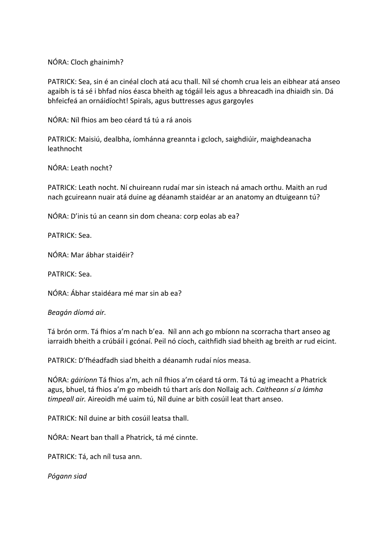NÓRA: Cloch ghainimh?

PATRICK: Sea, sin é an cinéal cloch atá acu thall. Níl sé chomh crua leis an eibhear atá anseo agaibh is tá sé i bhfad níos éasca bheith ag tógáil leis agus a bhreacadh ina dhiaidh sin. Dá bhfeicfeá an ornáidíocht! Spirals, agus buttresses agus gargoyles

NÓRA: Níl fhios am beo céard tá tú a rá anois

PATRICK: Maisiú, dealbha, íomhánna greannta i gcloch, saighdiúir, maighdeanacha leathnocht

NÓRA: Leath nocht?

PATRICK: Leath nocht. Ní chuireann rudaí mar sin isteach ná amach orthu. Maith an rud nach gcuireann nuair atá duine ag déanamh staidéar ar an anatomy an dtuigeann tú?

NÓRA: D'inis tú an ceann sin dom cheana: corp eolas ab ea?

PATRICK: Sea.

NÓRA: Mar ábhar staidéir?

PATRICK: Sea.

NÓRA: Ábhar staidéara mé mar sin ab ea?

#### *Beagán díomá air.*

Tá brón orm. Tá fhios a'm nach b'ea. Níl ann ach go mbíonn na scorracha thart anseo ag iarraidh bheith a crúbáil i gcónaí. Peil nó cíoch, caithfidh siad bheith ag breith ar rud eicint.

PATRICK: D'fhéadfadh siad bheith a déanamh rudaí níos measa.

NÓRA: *gáiríonn* Tá fhios a'm, ach níl fhios a'm céard tá orm. Tá tú ag imeacht a Phatrick agus, bhuel, tá fhios a'm go mbeidh tú thart arís don Nollaig ach. *Caitheann sí a lámha timpeall air.* Aireoidh mé uaim tú, Níl duine ar bith cosúil leat thart anseo.

PATRICK: Níl duine ar bith cosúil leatsa thall.

NÓRA: Neart ban thall a Phatrick, tá mé cinnte.

PATRICK: Tá, ach níl tusa ann.

*Pógann siad*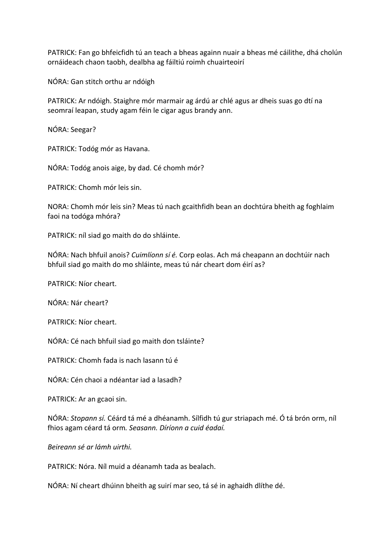PATRICK: Fan go bhfeicfidh tú an teach a bheas againn nuair a bheas mé cáilithe, dhá cholún ornáideach chaon taobh, dealbha ag fáiltiú roimh chuairteoirí

NÓRA: Gan stitch orthu ar ndóigh

PATRICK: Ar ndóigh. Staighre mór marmair ag árdú ar chlé agus ar dheis suas go dtí na seomraí leapan, study agam féin le cigar agus brandy ann.

NÓRA: Seegar?

PATRICK: Todóg mór as Havana.

NÓRA: Todóg anois aige, by dad. Cé chomh mór?

PATRICK: Chomh mór leis sin.

NORA: Chomh mór leis sin? Meas tú nach gcaithfidh bean an dochtúra bheith ag foghlaim faoi na todóga mhóra?

PATRICK: níl siad go maith do do shláinte.

NÓRA: Nach bhfuil anois? *Cuimlíonn sí é.* Corp eolas. Ach má cheapann an dochtúir nach bhfuil siad go maith do mo shláinte, meas tú nár cheart dom éirí as?

PATRICK: Níor cheart.

NÓRA: Nár cheart?

PATRICK: Níor cheart.

NÓRA: Cé nach bhfuil siad go maith don tsláinte?

 $PATRICK: Chomh fada$  is nach lasann tú é

NÓRA: Cén chaoi a ndéantar iad a lasadh?

PATRICK: Ar an gcaoi sin.

NÓRA: *Stopann sí.* Céárd tá mé a dhéanamh. Sílfidh tú gur striapach mé. Ó tá brón orm, níl fhios agam céard tá orm. Seasann. Díríonn a cuid éadaí.

*Beireann sé ar lámh uirthi.*

PATRICK: Nóra. Níl muid a déanamh tada as bealach.

NÓRA: Ní cheart dhúinn bheith ag suirí mar seo, tá sé in aghaidh dlíthe dé.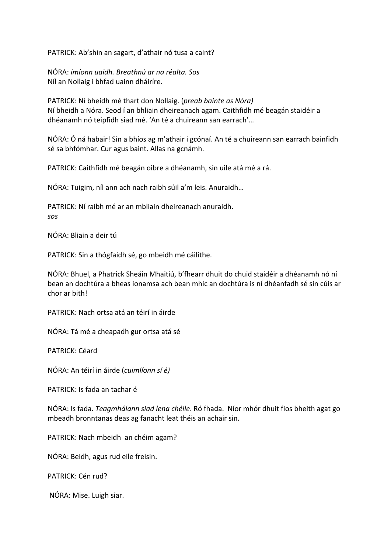PATRICK: Ab'shin an sagart, d'athair nó tusa a caint?

NÓRA: *imíonn uaidh. Breathnú ar na réalta. Sos* Níl an Nollaig i bhfad uainn dháiríre.

PATRICK: Ní bheidh mé thart don Nollaig. (*preab bainte as Nóra*) Ní bheidh a Nóra. Seod í an bhliain dheireanach agam. Caithfidh mé beagán staidéir a dhéanamh nó teipfidh siad mé. 'An té a chuireann san earrach'...

NÓRA: Ó ná habair! Sin a bhíos ag m'athair i gcónaí. An té a chuireann san earrach bainfidh sé sa bhfómhar. Cur agus baint. Allas na gcnámh.

PATRICK: Caithfidh mé beagán oibre a dhéanamh, sin uile atá mé a rá.

NÓRA: Tuigim, níl ann ach nach raibh súil a'm leis. Anuraidh...

PATRICK: Ní raibh mé ar an mbliain dheireanach anuraidh. *sos*

NÓRA: Bliain a deir tú

PATRICK: Sin a thógfaidh sé, go mbeidh mé cáilithe.

NÓRA: Bhuel, a Phatrick Sheáin Mhaitiú, b'fhearr dhuit do chuid staidéir a dhéanamh nó ní bean an dochtúra a bheas ionamsa ach bean mhic an dochtúra is ní dhéanfadh sé sin cúis ar chor ar bith!

PATRICK: Nach ortsa atá an téirí in áirde

NÓRA: Tá mé a cheapadh gur ortsa atá sé

PATRICK: Céard

NÓRA: An téirí in áirde (*cuimlíonn sí é)*

PATRICK: Is fada an tachar é

NÓRA: Is fada. *Teagmhálann siad lena chéile*. Ró fhada. Níor mhór dhuit fios bheith agat go mbeadh bronntanas deas ag fanacht leat théis an achair sin.

PATRICK: Nach mbeidh an chéim agam?

NÓRA: Beidh, agus rud eile freisin.

PATRICK: Cén rud?

NÓRA: Mise. Luigh siar.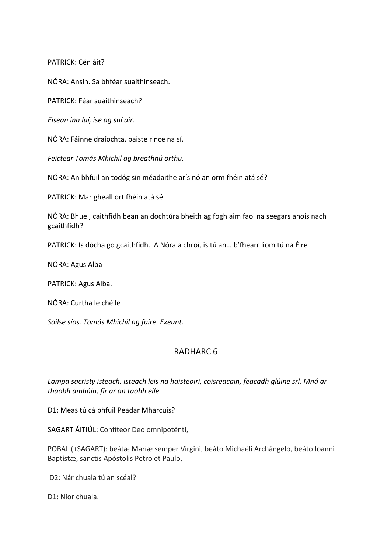PATRICK: Cén áit?

NÓRA: Ansin. Sa bhféar suaithinseach.

PATRICK: Féar suaithinseach?

*Eisean ina luí, ise ag suí air.*

NÓRA: Fáinne draíochta. paiste rince na sí.

Feictear Tomás Mhichil ag breathnú orthu.

NÓRA: An bhfuil an todóg sin méadaithe arís nó an orm fhéin atá sé?

PATRICK: Mar gheall ort fhéin atá sé

NÓRA: Bhuel, caithfidh bean an dochtúra bheith ag foghlaim faoi na seegars anois nach gcaithfidh?

PATRICK: Is dócha go gcaithfidh. A Nóra a chroí, is tú an... b'fhearr liom tú na Éire

NÓRA: Agus Alba

PATRICK: Agus Alba.

NÓRA: Curtha le chéile

Soilse síos. Tomás Mhichil ag faire. Exeunt.

## RADHARC 6

Lampa sacristy isteach. Isteach leis na haisteoirí, coisreacain, feacadh glúine srl. Mná ar *thaobh amháin, fir ar an taobh eile.*

D1: Meas tú cá bhfuil Peadar Mharcuis?

SAGART ÁITIÚL: Confíteor Deo omnipoténti,

POBAL (+SAGART): beátæ Maríæ semper Vírgini, beáto Michaéli Archángelo, beáto Ioanni Baptístæ, sanctis Apóstolis Petro et Paulo,

D2: Nár chuala tú an scéal?

D1: Níor chuala.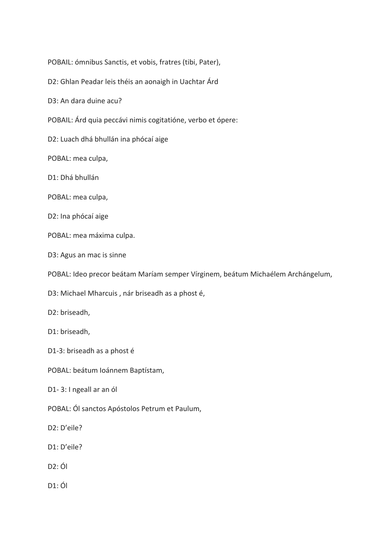POBAIL: ómnibus Sanctis, et vobis, fratres (tibi, Pater),

D2: Ghlan Peadar leis théis an aonaigh in Uachtar Árd

D3: An dara duine acu?

- POBAIL: Árd quia peccávi nimis cogitatióne, verbo et ópere:
- D2: Luach dhá bhullán ina phócaí aige

POBAL: mea culpa,

D1: Dhá bhullán

POBAL: mea culpa,

- D2: Ina phócaí aige
- POBAL: mea máxima culpa.

D3: Agus an mac is sinne

POBAL: Ideo precor beátam Maríam semper Vírginem, beátum Michaélem Archángelum,

D3: Michael Mharcuis, nár briseadh as a phost é,

D2: briseadh,

D1: briseadh,

D1-3: briseadh as a phost é

POBAL: beátum Ioánnem Baptístam,

D1-3: I ngeall ar an ól

POBAL: Ól sanctos Apóstolos Petrum et Paulum,

D2: D'eile?

- D1: D'eile?
- $D2:$   $\acute{O}I$
- $D1:$ Ól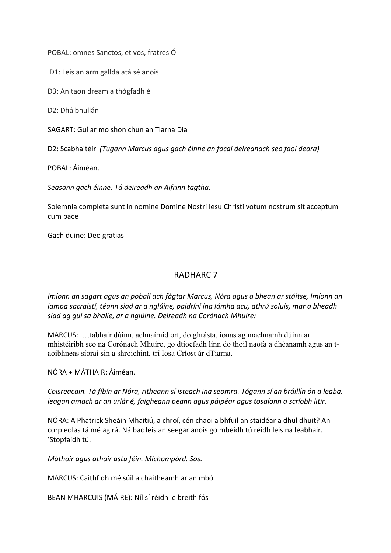POBAL: omnes Sanctos, et vos, fratres Ól

D1: Leis an arm gallda atá sé anois

D3: An taon dream a thógfadh é

D<sub>2</sub>: Dhá bhullán

SAGART: Guí ar mo shon chun an Tiarna Dia

D2: Scabhaitéir (Tugann Marcus agus gach éinne an focal deireanach seo faoi deara)

POBAL: Áiméan.

*Seasann gach éinne. Tá deireadh an Aifrinn tagtha.*

Solemnia completa sunt in nomine Domine Nostri Iesu Christi votum nostrum sit acceptum cum pace

Gach duine: Deo gratias

#### RADHARC 7

*Imíonn an sagart agus an pobail ach fágtar Marcus, Nóra agus a bhean ar stáitse, Imíonn an* lampa sacraistí, téann siad ar a nglúine, paidríní ina lámha acu, athrú soluis, mar a bheadh siad ag quí sa bhaile, ar a nglúine. Deireadh na Corónach Mhuire:

MARCUS: …tabhair dúinn, achnaímíd ort, do ghrásta, ionas ag machnamh dúinn ar mhistéiribh seo na Corónach Mhuire, go dtiocfadh linn do thoil naofa a dhéanamh agus an taoibhneas síoraí sin a shroichint, trí Iosa Críost ár dTiarna.

NÓRA + MÁTHAIR: Áiméan.

Coisreacain. Tá fíbín ar Nóra, ritheann sí isteach ina seomra. Tógann sí an bráillín ón a leaba, leagan amach ar an urlár é, faigheann peann agus páipéar agus tosaíonn a scríobh litir.

NÓRA: A Phatrick Sheáin Mhaitiú, a chroí, cén chaoi a bhfuil an staidéar a dhul dhuit? An corp eolas tá mé ag rá. Ná bac leis an seegar anois go mbeidh tú réidh leis na leabhair. 'Stopfaidh tú.

*Máthair agus athair astu féin. Míchompórd. Sos.*

MARCUS: Caithfidh mé súil a chaitheamh ar an mbó

BEAN MHARCUIS (MÁIRE): Níl sí réidh le breith fós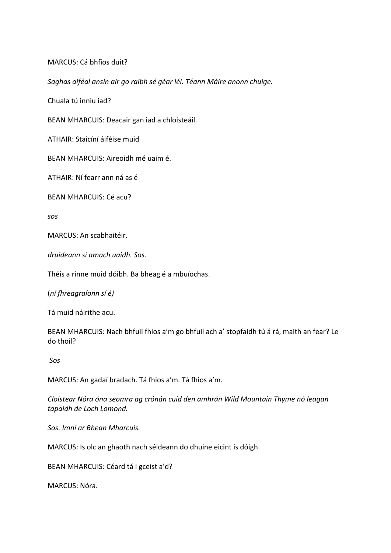#### MARCUS: Cá bhfios duit?

Saghas aiféal ansin air go raibh sé géar léi. Téann Máire anonn chuige.

Chuala tú inniu iad?

BEAN MHARCUIS: Deacair gan iad a chloisteáil.

ATHAIR: Staicíní áiféise muid

BEAN MHARCUIS: Aireoidh mé uaim é.

ATHAIR: Ní fearr ann ná as é

BEAN MHARCUIS: Cé acu?

*sos*

MARCUS: An scabhaitéir.

*druideann sí amach uaidh. Sos.*

Théis a rinne muid dóibh. Ba bheag é a mbuíochas.

(*ní fhreagraíonn sí é)*

Tá muid náirithe acu.

BEAN MHARCUIS: Nach bhfuil fhios a'm go bhfuil ach a' stopfaidh tú á rá, maith an fear? Le do thoil?

*Sos*

MARCUS: An gadaí bradach. Tá fhios a'm. Tá fhios a'm.

*Cloistear Nóra óna seomra ag crónán cuid den amhrán Wild Mountain Thyme nó leagan tapaidh de Loch Lomond.*

*Sos. Imní ar Bhean Mharcuis.*

MARCUS: Is olc an ghaoth nach séideann do dhuine eicint is dóigh.

BEAN MHARCUIS: Céard tá i gceist a'd?

MARCUS: Nóra.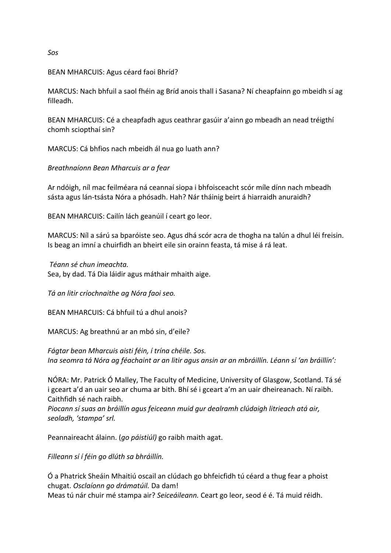#### BEAN MHARCUIS: Agus céard faoi Bhríd?

MARCUS: Nach bhfuil a saol fhéin ag Bríd anois thall i Sasana? Ní cheapfainn go mbeidh sí ag filleadh. 

BEAN MHARCUIS: Cé a cheapfadh agus ceathrar gasúir a'ainn go mbeadh an nead tréigthí chomh sciopthaí sin?

MARCUS: Cá bhfios nach mbeidh ál nua go luath ann?

#### *Breathnaíonn Bean Mharcuis ar a fear*

Ar ndóigh, níl mac feilméara ná ceannaí siopa i bhfoisceacht scór míle dínn nach mbeadh sásta agus lán-tsásta Nóra a phósadh. Hah? Nár tháinig beirt á hiarraidh anuraidh?

BEAN MHARCUIS: Cailín lách geanúil í ceart go leor.

MARCUS: Níl a sárú sa bparóiste seo. Agus dhá scór acra de thogha na talún a dhul léi freisin. Is beag an imní a chuirfidh an bheirt eile sin orainn feasta, tá mise á rá leat.

*Téann sé chun imeachta.*  Sea, by dad. Tá Dia láidir agus máthair mhaith aige.

*Tá an litir críochnaithe ag Nóra faoi seo.*

BEAN MHARCUIS: Cá bhfuil tú a dhul anois?

MARCUS: Ag breathnú ar an mbó sin, d'eile?

Fágtar bean Mharcuis aisti féin, í trína chéile. Sos. Ina seomra tá Nóra ag féachaint ar an litir agus ansin ar an mbráillín. Léann sí 'an bráillín':

NÓRA: Mr. Patrick Ó Malley, The Faculty of Medicine, University of Glasgow, Scotland. Tá sé i gceart a'd an uair seo ar chuma ar bith. Bhí sé i gceart a'm an uair dheireanach. Ní raibh. Caithfidh sé nach raibh.

Piocann sí suas an bráillín agus feiceann muid gur dealramh clúdaigh litrieach atá air, *seoladh, 'stampa' srl.*

Peannaireacht álainn. (*go páistiúl*) go raibh maith agat.

*Filleann sí í féin go dlúth sa bhráillín.*

Ó a Phatrick Sheáin Mhaitiú oscail an clúdach go bhfeicfidh tú céard a thug fear a phoist chugat. *Osclaíonn go drámatúil.* Da dam! Meas tú nár chuir mé stampa air? *Seiceáileann.* Ceart go leor, seod é é. Tá muid réidh.

*Sos*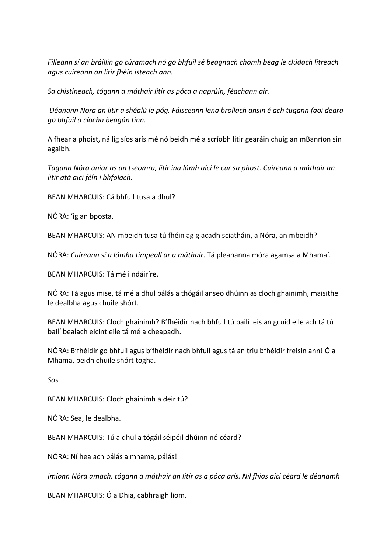Filleann sí an bráillín go cúramach nó go bhfuil sé beagnach chomh beag le clúdach litreach *agus cuireann an litir fhéin isteach ann.*

*Sa chistineach, tógann a máthair litir as póca a naprúin, féachann air.*

*Déanann Nora an litir a shéalú le póg. Fáisceann lena brollach ansin é ach tugann faoi deara go bhfuil a cíocha beagán tinn.*

A fhear a phoist, ná lig síos arís mé nó beidh mé a scríobh litir gearáin chuig an mBanríon sin agaibh.

Tagann Nóra aniar as an tseomra, litir ina lámh aici le cur sa phost. Cuireann a máthair an *litir atá aici féín i bhfolach.*

BEAN MHARCUIS: Cá bhfuil tusa a dhul?

NÓRA: 'ig an bposta.

BEAN MHARCUIS: AN mbeidh tusa tú fhéin ag glacadh sciatháin, a Nóra, an mbeidh?

NÓRA: *Cuireann sí a lámha timpeall ar a máthair*. Tá pleananna móra agamsa a Mhamaí.

BEAN MHARCUIS: Tá mé i ndáiríre.

NÓRA: Tá agus mise, tá mé a dhul pálás a thógáil anseo dhúinn as cloch ghainimh, maisithe le dealbha agus chuile shórt.

BEAN MHARCUIS: Cloch ghainimh? B'fhéidir nach bhfuil tú bailí leis an gcuid eile ach tá tú bailí bealach eicint eile tá mé a cheapadh.

NÓRA: B'fhéidir go bhfuil agus b'fhéidir nach bhfuil agus tá an triú bfhéidir freisin ann! Ó a Mhama, beidh chuile shórt togha.

*Sos*

BEAN MHARCUIS: Cloch ghainimh a deir tú?

NÓRA: Sea, le dealbha. 

BEAN MHARCUIS: Tú a dhul a tógáil séipéil dhúinn nó céard?

NÓRA: Ní hea ach pálás a mhama, pálás!

*Imíonn Nóra amach, tógann a máthair an litir as a póca arís. Níl fhios aici céard le déanamh* 

BEAN MHARCUIS: Ó a Dhia, cabhraigh liom.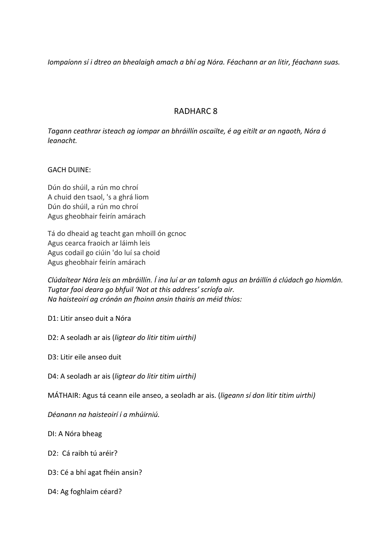*Iompaíonn sí i dtreo an bhealaigh amach a bhí ag Nóra. Féachann ar an litir, féachann suas.* 

## RADHARC 8

Tagann ceathrar isteach ag iompar an bhráillín oscailte, é ag eitilt ar an ngaoth, Nóra á *leanacht.* 

#### **GACH DUINE:**

Dún do shúil, a rún mo chroí A chuid den tsaol, 's a ghrá liom Dún do shúil, a rún mo chroí Agus gheobhair feirín amárach

Tá do dheaid ag teacht gan mhoill ón gcnoc Agus cearca fraoich ar láimh leis Agus codail go ciúin 'do luí sa choid Agus gheobhair feirín amárach

Clúdaítear Nóra leis an mbráillín. Í ina luí ar an talamh agus an bráillín á clúdach go hiomlán. Tugtar faoi deara go bhfuil 'Not at this address' scríofa air. *Na haisteoirí ag crónán an fhoinn ansin thairis an méid thíos:*

D1: Litir anseo duit a Nóra

D2: A seoladh ar ais (ligtear do litir titim uirthi)

D3: Litir eile anseo duit

D4: A seoladh ar ais (ligtear do litir titim uirthi)

MÁTHAIR: Agus tá ceann eile anseo, a seoladh ar ais. (*ligeann sí don litir titim uirthi*)

*Déanann na haisteoirí í a mhúirniú.*

DI: A Nóra bheag

D2: Cá raibh tú aréir?

- D3: Cé a bhí agat fhéin ansin?
- D4: Ag foghlaim céard?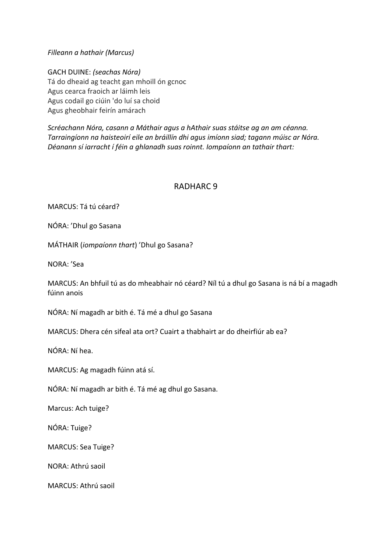#### *Filleann a hathair (Marcus)*

GACH DUINE: *(seachas Nóra)* Tá do dheaid ag teacht gan mhoill ón gcnoc Agus cearca fraoich ar láimh leis Agus codail go ciúin 'do luí sa choid Agus gheobhair feirín amárach

Scréachann Nóra, casann a Máthair agus a hAthair suas stáitse ag an am céanna. Tarraingíonn na haisteoirí eile an bráillín dhi agus imíonn siad; tagann múisc ar Nóra. Déanann sí iarracht í féin a ghlanadh suas roinnt. Iompaíonn an tathair thart:

#### RADHARC 9

MARCUS: Tá tú céard?

NÓRA: 'Dhul go Sasana

MÁTHAIR (*iompaíonn thart*) 'Dhul go Sasana?

NORA: 'Sea

MARCUS: An bhfuil tú as do mheabhair nó céard? Níl tú a dhul go Sasana is ná bí a magadh fúinn anois

NÓRA: Ní magadh ar bith é. Tá mé a dhul go Sasana

MARCUS: Dhera cén sifeal ata ort? Cuairt a thabhairt ar do dheirfiúr ab ea?

NÓRA: Ní hea.

MARCUS: Ag magadh fúinn atá sí.

NÓRA: Ní magadh ar bith é. Tá mé ag dhul go Sasana.

Marcus: Ach tuige?

NÓRA: Tuige?

MARCUS: Sea Tuige?

NORA: Athrú saoil

MARCUS: Athrú saoil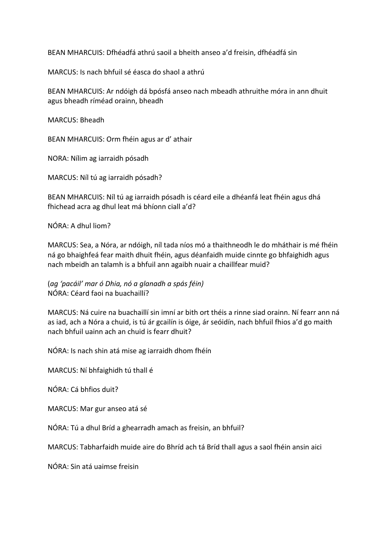BEAN MHARCUIS: Dfhéadfá athrú saoil a bheith anseo a'd freisin, dfhéadfá sin

MARCUS: Is nach bhfuil sé éasca do shaol a athrú

BEAN MHARCUIS: Ar ndóigh dá bpósfá anseo nach mbeadh athruithe móra in ann dhuit agus bheadh ríméad orainn, bheadh

MARCUS: Bheadh

BEAN MHARCUIS: Orm fhéin agus ar d' athair

NORA: Nílim ag iarraidh pósadh

MARCUS: Níl tú ag iarraidh pósadh?

BEAN MHARCUIS: Níl tú ag iarraidh pósadh is céard eile a dhéanfá leat fhéin agus dhá fhichead acra ag dhul leat má bhíonn ciall a'd?

NÓRA: A dhul liom?

MARCUS: Sea, a Nóra, ar ndóigh, níl tada níos mó a thaithneodh le do mháthair is mé fhéin ná go bhaighfeá fear maith dhuit fhéin, agus déanfaidh muide cinnte go bhfaighidh agus nach mbeidh an talamh is a bhfuil ann agaibh nuair a chaillfear muid?

(*ag 'pacáil' mar ó Dhia, nó a glanadh a spás féin)*  NÓRA: Céard faoi na buachaillí?

MARCUS: Ná cuire na buachaillí sin imní ar bith ort théis a rinne siad orainn. Ní fearr ann ná as iad, ach a Nóra a chuid, is tú ár gcailín is óige, ár seóidín, nach bhfuil fhios a'd go maith nach bhfuil uainn ach an chuid is fearr dhuit?

NÓRA: Is nach shin atá mise ag iarraidh dhom fhéin

MARCUS: Ní bhfaighidh tú thall é

NÓRA: Cá bhfios duit?

MARCUS: Mar gur anseo atá sé

NÓRA: Tú a dhul Bríd a ghearradh amach as freisin, an bhfuil?

MARCUS: Tabharfaidh muide aire do Bhríd ach tá Bríd thall agus a saol fhéin ansin aici

NÓRA: Sin atá uaimse freisin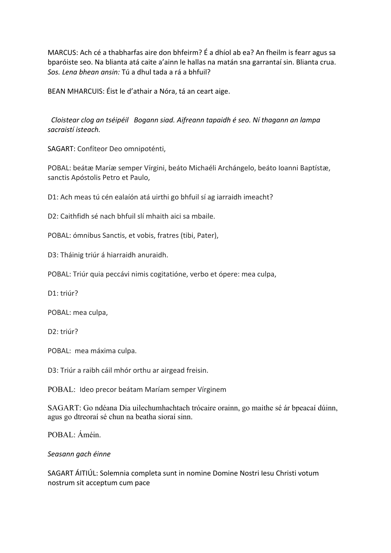MARCUS: Ach cé a thabharfas aire don bhfeirm? É a dhíol ab ea? An fheilm is fearr agus sa bparóiste seo. Na blianta atá caite a'ainn le hallas na matán sna garrantaí sin. Blianta crua. Sos. Lena bhean ansin: Tú a dhul tada a rá a bhfuil?

BEAN MHARCUIS: Éist le d'athair a Nóra, tá an ceart aige.

 *Cloistear clog an tséipéil Bogann siad. Aifreann tapaidh é seo. Ní thagann an lampa sacraistí isteach.*

SAGART: Confíteor Deo omnipoténti,

POBAL: beátæ Maríæ semper Vírgini, beáto Michaéli Archángelo, beáto Ioanni Baptístæ, sanctis Apóstolis Petro et Paulo,

D1: Ach meas tú cén ealaíón atá uirthi go bhfuil sí ag iarraidh imeacht?

 $D2$ : Caithfidh sé nach bhfuil slí mhaith aici sa mhaile.

POBAL: ómnibus Sanctis, et vobis, fratres (tibi, Pater),

D3: Tháinig triúr á hiarraidh anuraidh.

POBAL: Triúr quia peccávi nimis cogitatióne, verbo et ópere: mea culpa,

D1: triúr?

POBAL: mea culpa,

D2: triúr?

POBAL: mea máxima culpa.

D3: Triúr a raibh cáil mhór orthu ar airgead freisin.

POBAL: Ideo precor beátam Maríam semper Vírginem

SAGART: Go ndéana Dia uilechumhachtach trócaire orainn, go maithe sé ár bpeacaí dúinn, agus go dtreoraí sé chun na beatha sioraí sinn.

POBAL: Áméin.

#### *Seasann gach éinne*

SAGART ÁITIÚL: Solemnia completa sunt in nomine Domine Nostri lesu Christi votum nostrum sit acceptum cum pace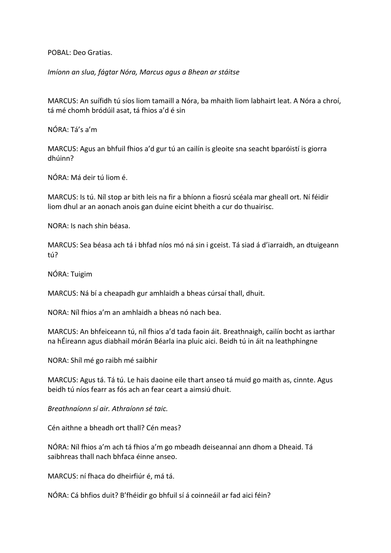POBAL: Deo Gratias.

*Imíonn an slua, fágtar Nóra, Marcus agus a Bhean ar stáitse* 

MARCUS: An suífidh tú síos liom tamaill a Nóra, ba mhaith liom labhairt leat. A Nóra a chroí, tá mé chomh bródúil asat, tá fhios a'd é sin

NÓRA: Tá's a'm

MARCUS: Agus an bhfuil fhios a'd gur tú an cailín is gleoite sna seacht bparóistí is giorra dhúinn?

NÓRA: Má deir tú liom é.

MARCUS: Is tú. Níl stop ar bith leis na fir a bhíonn a fiosrú scéala mar gheall ort. Ní féidir liom dhul ar an aonach anois gan duine eicint bheith a cur do thuairisc.

NORA: Is nach shin béasa.

MARCUS: Sea béasa ach tá i bhfad níos mó ná sin i gceist. Tá siad á d'iarraidh, an dtuigeann tú?

NÓRA: Tuigim

MARCUS: Ná bí a cheapadh gur amhlaidh a bheas cúrsaí thall, dhuit.

NORA: Níl fhios a'm an amhlaidh a bheas nó nach bea.

MARCUS: An bhfeiceann tú, níl fhios a'd tada faoin áit. Breathnaigh, cailín bocht as iarthar na hÉireann agus diabhail mórán Béarla ina pluic aici. Beidh tú in áit na leathphingne

NORA: Shíl mé go raibh mé saibhir

MARCUS: Agus tá. Tá tú. Le hais daoine eile thart anseo tá muid go maith as, cinnte. Agus beidh tú níos fearr as fós ach an fear ceart a aimsiú dhuit.

*Breathnaíonn sí air. Athraíonn sé taic.*

Cén aithne a bheadh ort thall? Cén meas?

NÓRA: Níl fhios a'm ach tá fhios a'm go mbeadh deiseannaí ann dhom a Dheaid. Tá saibhreas thall nach bhfaca éinne anseo.

MARCUS: ní fhaca do dheirfiúr é, má tá.

NÓRA: Cá bhfios duit? B'fhéidir go bhfuil sí á coinneáil ar fad aici féin?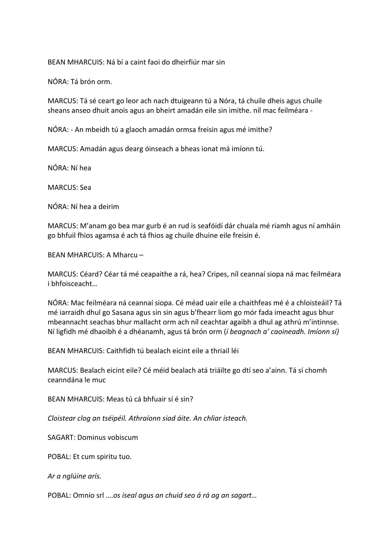BEAN MHARCUIS: Ná bí a caint faoi do dheirfiúr mar sin

NÓRA: Tá brón orm.

MARCUS: Tá sé ceart go leor ach nach dtuigeann tú a Nóra, tá chuile dheis agus chuile sheans anseo dhuit anois agus an bheirt amadán eile sin imithe. níl mac feilméara -

NÓRA: - An mbeidh tú a glaoch amadán ormsa freisin agus mé imithe?

MARCUS: Amadán agus dearg óinseach a bheas ionat má imíonn tú.

NÓRA: Ní hea

**MARCUS: Sea** 

NÓRA: Ní hea a deirim

MARCUS: M'anam go bea mar gurb é an rud is seafóidí dár chuala mé riamh agus ní amháin go bhfuil fhios agamsa é ach tá fhios ag chuile dhuine eile freisin é.

BEAN MHARCUIS: A Mharcu -

MARCUS: Céard? Céar tá mé ceapaithe a rá, hea? Cripes, níl ceannaí siopa ná mac feilméara i bhfoisceacht...

NÓRA: Mac feilméara ná ceannaí siopa. Cé méad uair eile a chaithfeas mé é a chloisteáil? Tá mé iarraidh dhul go Sasana agus sin sin agus b'fhearr liom go mór fada imeacht agus bhur mbeannacht seachas bhur mallacht orm ach níl ceachtar agaibh a dhul ag athrú m'intinnse. Ní ligfidh mé dhaoibh é a dhéanamh, agus tá brón orm (*í beagnach a' caoineadh. Imíonn sí*)

BEAN MHARCUIS: Caithfidh tú bealach eicint eile a thriail léi

MARCUS: Bealach eicint eile? Cé méid bealach atá triáilte go dtí seo a'ainn. Tá sí chomh ceanndána le muc

BEAN MHARCUIS: Meas tú cá bhfuair sí é sin?

*Cloistear clog an tséipéil. Athraíonn siad áite. An chliar isteach.*

SAGART: Dominus vobiscum

POBAL: Et cum spiritu tuo.

*Ar a nglúine arís.*

POBAL: Omnio srl ....os *íseal agus an chuid seo á rá ag an sagart...*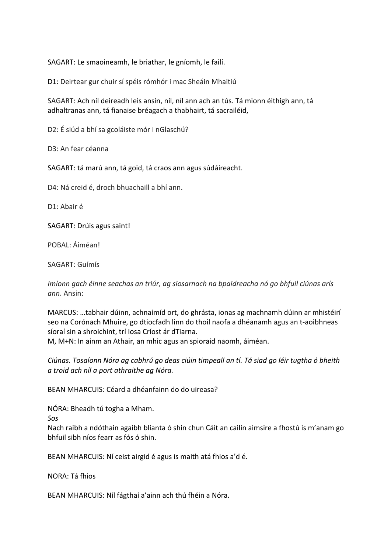SAGART: Le smaoineamh, le briathar, le gníomh, le failí.

D1: Deirtear gur chuir sí spéis rómhór i mac Sheáin Mhaitiú

SAGART: Ach níl deireadh leis ansin, níl, níl ann ach an tús. Tá mionn éithigh ann, tá adhaltranas ann, tá fianaise bréagach a thabhairt, tá sacrailéid,

D2: É siúd a bhí sa gcoláiste mór i nGlaschú?

D3: An fear céanna 

SAGART: tá marú ann, tá goid, tá craos ann agus súdáireacht.

D4: Ná creid é, droch bhuachaill a bhí ann.

D1: Abair é

SAGART: Drúis agus saint!

POBAL: Áiméan!

SAGART: Guímís

*Imíonn gach éinne seachas an triúr, ag siosarnach na bpaidreacha nó go bhfuil ciúnas arís ann*. Ansin:

MARCUS: ...tabhair dúinn, achnaímíd ort, do ghrásta, ionas ag machnamh dúinn ar mhistéirí seo na Corónach Mhuire, go dtiocfadh linn do thoil naofa a dhéanamh agus an t-aoibhneas síoraí sin a shroichint, trí Iosa Críost ár dTiarna.

M, M+N: In ainm an Athair, an mhic agus an spioraid naomh, áiméan.

*Ciúnas. Tosaíonn Nóra ag cabhrú go deas ciúin timpeall an tí. Tá siad go léir tugtha ó bheith a troid ach níl a port athraithe ag Nóra.*

BEAN MHARCUIS: Céard a dhéanfainn do do uireasa?

NÓRA: Bheadh tú togha a Mham. 

*Sos*

Nach raibh a ndóthain agaibh blianta ó shin chun Cáit an cailín aimsire a fhostú is m'anam go bhfuil sibh níos fearr as fós ó shin.

BEAN MHARCUIS: Ní ceist airgid é agus is maith atá fhios a'd é.

NORA: Tá fhios

BEAN MHARCUIS: Níl fágthaí a'ainn ach thú fhéin a Nóra.